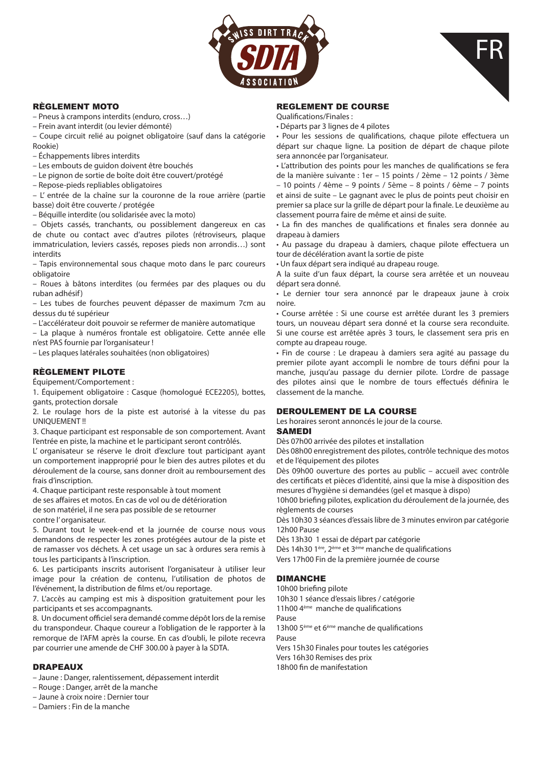



# RÈGLEMENT MOTO

– Pneus à crampons interdits (enduro, cross…)

– Frein avant interdit (ou levier démonté)

– Coupe circuit relié au poignet obligatoire (sauf dans la catégorie Rookie)

– Échappements libres interdits

– Les embouts de guidon doivent être bouchés

– Le pignon de sortie de boîte doit être couvert/protégé

– Repose-pieds repliables obligatoires

– L' entrée de la chaîne sur la couronne de la roue arrière (partie basse) doit être couverte / protégée

– Béquille interdite (ou solidarisée avec la moto)

– Objets cassés, tranchants, ou possiblement dangereux en cas de chute ou contact avec d'autres pilotes (rétroviseurs, plaque immatriculation, leviers cassés, reposes pieds non arrondis…) sont interdits

– Tapis environnemental sous chaque moto dans le parc coureurs obligatoire

– Roues à bâtons interdites (ou fermées par des plaques ou du ruban adhésif)

– Les tubes de fourches peuvent dépasser de maximum 7cm au dessus du té supérieur

– L'accélérateur doit pouvoir se refermer de manière automatique

– La plaque à numéros frontale est obligatoire. Cette année elle n'est PAS fournie par l'organisateur !

– Les plaques latérales souhaitées (non obligatoires)

# RÈGLEMENT PILOTE

Équipement/Comportement :

1. Équipement obligatoire : Casque (homologué ECE2205), bottes, gants, protection dorsale

2. Le roulage hors de la piste est autorisé à la vitesse du pas UNIQUEMENT !!

3. Chaque participant est responsable de son comportement. Avant l'entrée en piste, la machine et le participant seront contrôlés.

L' organisateur se réserve le droit d'exclure tout participant ayant un comportement inapproprié pour le bien des autres pilotes et du déroulement de la course, sans donner droit au remboursement des frais d'inscription.

4. Chaque participant reste responsable à tout moment

de ses affaires et motos. En cas de vol ou de détérioration

de son matériel, il ne sera pas possible de se retourner

contre l' organisateur.

5. Durant tout le week-end et la journée de course nous vous demandons de respecter les zones protégées autour de la piste et de ramasser vos déchets. À cet usage un sac à ordures sera remis à tous les participants à l'inscription.

6. Les participants inscrits autorisent l'organisateur à utiliser leur image pour la création de contenu, l'utilisation de photos de l'événement, la distribution de films et/ou reportage.

7. L'accès au camping est mis à disposition gratuitement pour les participants et ses accompagnants.

8. Un document officiel sera demandé comme dépôt lors de la remise du transpondeur. Chaque coureur a l'obligation de le rapporter à la remorque de l'AFM après la course. En cas d'oubli, le pilote recevra par courrier une amende de CHF 300.00 à payer à la SDTA.

# DRAPEAUX

– Jaune : Danger, ralentissement, dépassement interdit

– Rouge : Danger, arrêt de la manche

– Jaune à croix noire : Dernier tour

– Damiers : Fin de la manche

### REGLEMENT DE COURSE

Qualifications/Finales :

• Départs par 3 lignes de 4 pilotes

• Pour les sessions de qualifications, chaque pilote effectuera un départ sur chaque ligne. La position de départ de chaque pilote sera annoncée par l'organisateur.

• L'attribution des points pour les manches de qualifications se fera de la manière suivante : 1er – 15 points / 2ème – 12 points / 3ème – 10 points / 4ème – 9 points / 5ème – 8 points / 6ème – 7 points et ainsi de suite – Le gagnant avec le plus de points peut choisir en premier sa place sur la grille de départ pour la finale. Le deuxième au classement pourra faire de même et ainsi de suite.

• La fin des manches de qualifications et finales sera donnée au drapeau à damiers

• Au passage du drapeau à damiers, chaque pilote effectuera un tour de décélération avant la sortie de piste

• Un faux départ sera indiqué au drapeau rouge.

A la suite d'un faux départ, la course sera arrêtée et un nouveau départ sera donné.

• Le dernier tour sera annoncé par le drapeaux jaune à croix noire.

• Course arrêtée : Si une course est arrêtée durant les 3 premiers tours, un nouveau départ sera donné et la course sera reconduite. Si une course est arrêtée après 3 tours, le classement sera pris en compte au drapeau rouge.

• Fin de course : Le drapeau à damiers sera agité au passage du premier pilote ayant accompli le nombre de tours défini pour la manche, jusqu'au passage du dernier pilote. L'ordre de passage des pilotes ainsi que le nombre de tours effectués définira le classement de la manche.

# DEROULEMENT DE LA COURSE

Les horaires seront annoncés le jour de la course.

### SAMEDI

Dès 07h00 arrivée des pilotes et installation

Dès 08h00 enregistrement des pilotes, contrôle technique des motos et de l'équipement des pilotes

Dès 09h00 ouverture des portes au public – accueil avec contrôle des certificats et pièces d'identité, ainsi que la mise à disposition des mesures d'hygiène si demandées (gel et masque à dispo)

10h00 briefing pilotes, explication du déroulement de la journée, des règlements de courses

Dès 10h30 3 séances d'essais libre de 3 minutes environ par catégorie 12h00 Pause

Dès 13h30 1 essai de départ par catégorie

- Dès 14h30 1ère, 2ème et 3ème manche de qualifications
- Vers 17h00 Fin de la première journée de course

# DIMANCHE

10h00 briefing pilote 10h30 1 séance d'essais libres / catégorie

11h00 4ème manche de qualifications

Pause

13h00 5ème et 6ème manche de qualifications

Pause

Vers 15h30 Finales pour toutes les catégories Vers 16h30 Remises des prix 18h00 fin de manifestation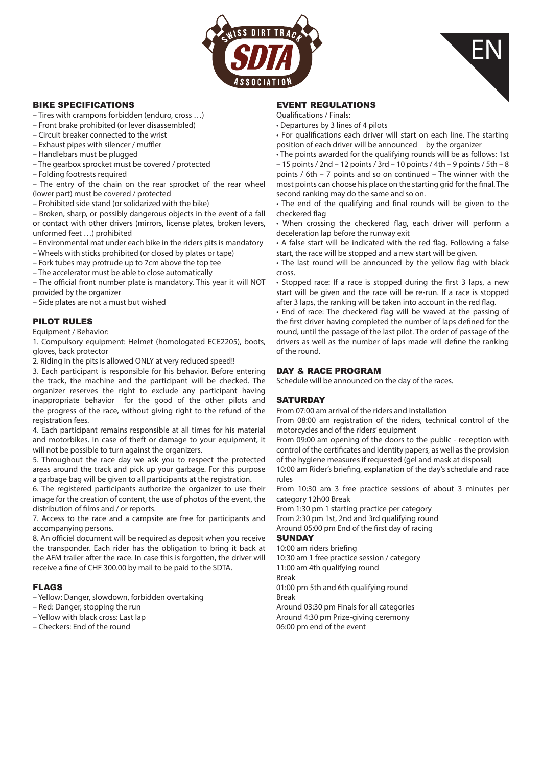



## BIKE SPECIFICATIONS

- Tires with crampons forbidden (enduro, cross …)
- Front brake prohibited (or lever disassembled)
- Circuit breaker connected to the wrist
- Exhaust pipes with silencer / muffler
- Handlebars must be plugged
- The gearbox sprocket must be covered / protected
- Folding footrests required

– The entry of the chain on the rear sprocket of the rear wheel (lower part) must be covered / protected

– Prohibited side stand (or solidarized with the bike)

– Broken, sharp, or possibly dangerous objects in the event of a fall or contact with other drivers (mirrors, license plates, broken levers, unformed feet …) prohibited

- Environmental mat under each bike in the riders pits is mandatory
- Wheels with sticks prohibited (or closed by plates or tape)
- Fork tubes may protrude up to 7cm above the top tee
- The accelerator must be able to close automatically

– The official front number plate is mandatory. This year it will NOT provided by the organizer

– Side plates are not a must but wished

# PILOT RULES

#### Equipment / Behavior:

1. Compulsory equipment: Helmet (homologated ECE2205), boots, gloves, back protector

2. Riding in the pits is allowed ONLY at very reduced speed!!

3. Each participant is responsible for his behavior. Before entering the track, the machine and the participant will be checked. The organizer reserves the right to exclude any participant having inappropriate behavior for the good of the other pilots and the progress of the race, without giving right to the refund of the registration fees.

4. Each participant remains responsible at all times for his material and motorbikes. In case of theft or damage to your equipment, it will not be possible to turn against the organizers.

5. Throughout the race day we ask you to respect the protected areas around the track and pick up your garbage. For this purpose a garbage bag will be given to all participants at the registration.

6. The registered participants authorize the organizer to use their image for the creation of content, the use of photos of the event, the distribution of films and / or reports.

7. Access to the race and a campsite are free for participants and accompanying persons.

8. An officiel document will be required as deposit when you receive the transponder. Each rider has the obligation to bring it back at the AFM trailer after the race. In case this is forgotten, the driver will receive a fine of CHF 300.00 by mail to be paid to the SDTA.

### FLAGS

- Yellow: Danger, slowdown, forbidden overtaking
- Red: Danger, stopping the run
- Yellow with black cross: Last lap
- Checkers: End of the round

## EVENT REGULATIONS

Qualifications / Finals:

• Departures by 3 lines of 4 pilots

• For qualifications each driver will start on each line. The starting position of each driver will be announced by the organizer

• The points awarded for the qualifying rounds will be as follows: 1st – 15 points / 2nd – 12 points / 3rd – 10 points / 4th – 9 points / 5th – 8 points / 6th – 7 points and so on continued – The winner with the most points can choose his place on the starting grid for the final. The second ranking may do the same and so on.

• The end of the qualifying and final rounds will be given to the checkered flag

• When crossing the checkered flag, each driver will perform a deceleration lap before the runway exit

• A false start will be indicated with the red flag. Following a false start, the race will be stopped and a new start will be given.

• The last round will be announced by the yellow flag with black cross.

• Stopped race: If a race is stopped during the first 3 laps, a new start will be given and the race will be re-run. If a race is stopped after 3 laps, the ranking will be taken into account in the red flag.

• End of race: The checkered flag will be waved at the passing of the first driver having completed the number of laps defined for the round, until the passage of the last pilot. The order of passage of the drivers as well as the number of laps made will define the ranking of the round.

### DAY & RACE PROGRAM

Schedule will be announced on the day of the races.

### **SATURDAY**

From 07:00 am arrival of the riders and installation

From 08:00 am registration of the riders, technical control of the motorcycles and of the riders' equipment

From 09:00 am opening of the doors to the public - reception with control of the certificates and identity papers, as well as the provision of the hygiene measures if requested (gel and mask at disposal)

10:00 am Rider's briefing, explanation of the day's schedule and race rules

From 10:30 am 3 free practice sessions of about 3 minutes per category 12h00 Break

From 1:30 pm 1 starting practice per category

From 2:30 pm 1st, 2nd and 3rd qualifying round Around 05:00 pm End of the first day of racing

# **SUNDAY**

10:00 am riders briefing 10:30 am 1 free practice session / category 11:00 am 4th qualifying round Break 01:00 pm 5th and 6th qualifying round Break Around 03:30 pm Finals for all categories Around 4:30 pm Prize-giving ceremony 06:00 pm end of the event